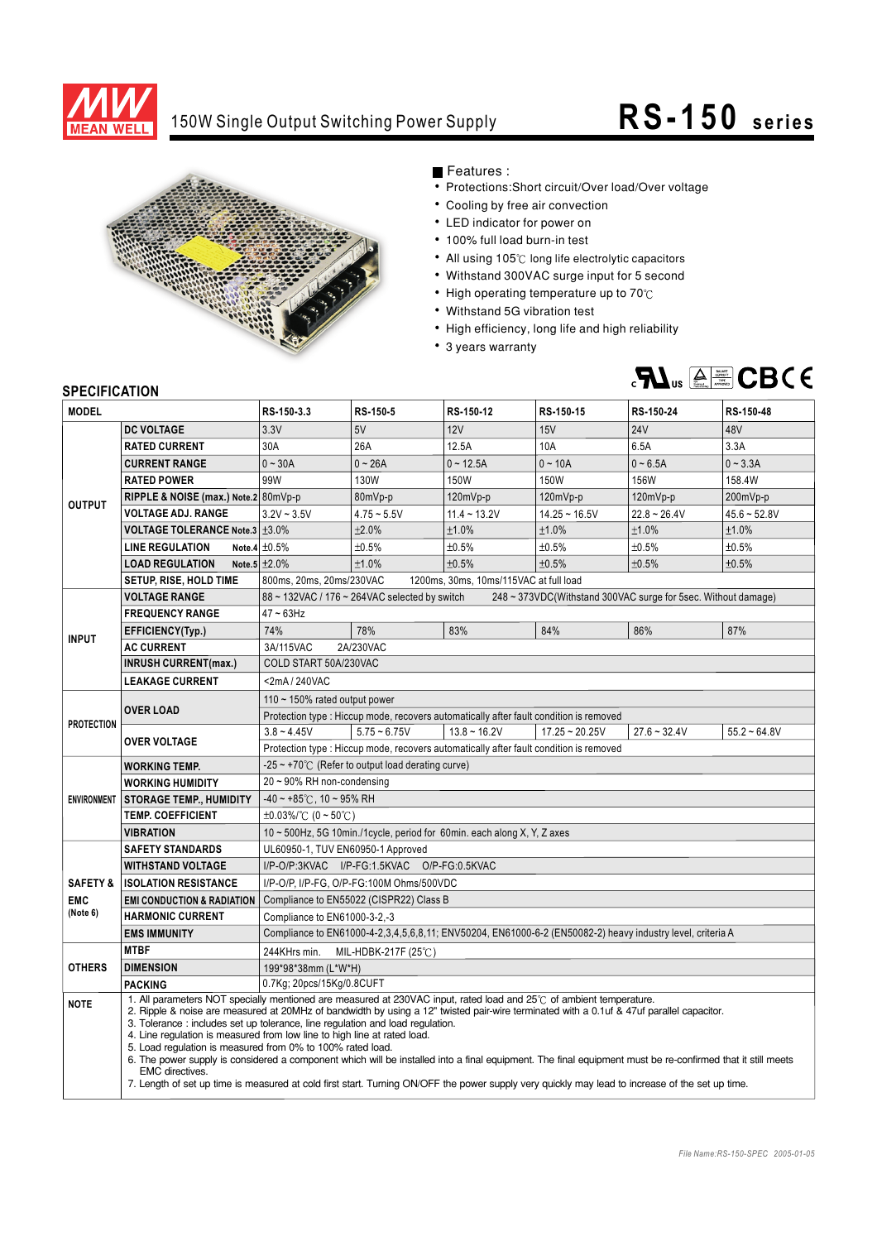

## 150W Single Output Switching Power Supply **RS -150** series



Features :

- Protections: Short circuit/Over load/Over voltage
- Cooling by free air convection
- LED indicator for power on
- 100% full load burn-in test
- All using 105°C long life electrolytic capacitors
- Withstand 300VAC surge input for 5 second
- $\bullet$  High operating temperature up to 70 $\degree$ C
- Withstand 5G vibration test
- High efficiency, long life and high reliability
- 3 years warranty



## **SPECIFICATION**

| יוטו ווער וועם<br><b>MODEL</b> |                                                                                                                                                                                                                                                                                                                                                  | RS-150-3.3                                                                                                     | RS-150-5       | RS-150-12      | RS-150-15        | RS-150-24                                                                                                  | RS-150-48      |
|--------------------------------|--------------------------------------------------------------------------------------------------------------------------------------------------------------------------------------------------------------------------------------------------------------------------------------------------------------------------------------------------|----------------------------------------------------------------------------------------------------------------|----------------|----------------|------------------|------------------------------------------------------------------------------------------------------------|----------------|
|                                | <b>DC VOLTAGE</b>                                                                                                                                                                                                                                                                                                                                | 3.3V                                                                                                           | 5V             | 12V            | 15V              | <b>24V</b>                                                                                                 | 48V            |
| <b>OUTPUT</b>                  | <b>RATED CURRENT</b>                                                                                                                                                                                                                                                                                                                             | 30A                                                                                                            | 26A            | 12.5A          | 10A              | 6.5A                                                                                                       | 3.3A           |
|                                | <b>CURRENT RANGE</b>                                                                                                                                                                                                                                                                                                                             | $0 - 30A$                                                                                                      | $0 - 26A$      | $0 - 12.5A$    | $0 - 10A$        | $0 - 6.5A$                                                                                                 | $0 - 3.3A$     |
|                                | <b>RATED POWER</b>                                                                                                                                                                                                                                                                                                                               | 99W                                                                                                            | 130W           | 150W           | 150W             | 156W                                                                                                       | 158.4W         |
|                                | RIPPLE & NOISE (max.) Note.2 80mVp-p                                                                                                                                                                                                                                                                                                             |                                                                                                                | 80mVp-p        | 120mVp-p       | 120mVp-p         | $120mVp-p$                                                                                                 | 200mVp-p       |
|                                | <b>VOLTAGE ADJ. RANGE</b>                                                                                                                                                                                                                                                                                                                        | $3.2V - 3.5V$                                                                                                  | $4.75 - 5.5V$  | $11.4 - 13.2V$ | $14.25 - 16.5V$  | $22.8 - 26.4V$                                                                                             | $45.6 - 52.8V$ |
|                                | <b>VOLTAGE TOLERANCE Note.3 ±3.0%</b>                                                                                                                                                                                                                                                                                                            |                                                                                                                | ±2.0%          | ±1.0%          | ±1.0%            | ±1.0%                                                                                                      | ±1.0%          |
|                                | <b>LINE REGULATION</b>                                                                                                                                                                                                                                                                                                                           | Note.4 $\pm 0.5\%$                                                                                             | ±0.5%          | ±0.5%          | ±0.5%            | ±0.5%                                                                                                      | ±0.5%          |
|                                | <b>LOAD REGULATION</b>                                                                                                                                                                                                                                                                                                                           | Note.5 $\pm 2.0\%$                                                                                             | ±1.0%          | ±0.5%          | ±0.5%            | ±0.5%                                                                                                      | ±0.5%          |
|                                | SETUP, RISE, HOLD TIME                                                                                                                                                                                                                                                                                                                           | 800ms, 20ms, 20ms/230VAC<br>1200ms, 30ms, 10ms/115VAC at full load                                             |                |                |                  |                                                                                                            |                |
| <b>INPUT</b>                   | <b>VOLTAGE RANGE</b>                                                                                                                                                                                                                                                                                                                             | 88 ~ 132VAC / 176 ~ 264VAC selected by switch<br>248 ~ 373VDC(Withstand 300VAC surge for 5sec. Without damage) |                |                |                  |                                                                                                            |                |
|                                | <b>FREQUENCY RANGE</b>                                                                                                                                                                                                                                                                                                                           | $47 - 63$ Hz                                                                                                   |                |                |                  |                                                                                                            |                |
|                                | EFFICIENCY(Typ.)                                                                                                                                                                                                                                                                                                                                 | 74%                                                                                                            | 78%            | 83%            | 84%              | 86%                                                                                                        | 87%            |
|                                | <b>AC CURRENT</b>                                                                                                                                                                                                                                                                                                                                | 3A/115VAC<br>2A/230VAC                                                                                         |                |                |                  |                                                                                                            |                |
|                                | <b>INRUSH CURRENT(max.)</b>                                                                                                                                                                                                                                                                                                                      | COLD START 50A/230VAC                                                                                          |                |                |                  |                                                                                                            |                |
|                                | <b>LEAKAGE CURRENT</b>                                                                                                                                                                                                                                                                                                                           | <2mA/240VAC                                                                                                    |                |                |                  |                                                                                                            |                |
| <b>PROTECTION</b>              | <b>OVER LOAD</b>                                                                                                                                                                                                                                                                                                                                 | 110 $\sim$ 150% rated output power                                                                             |                |                |                  |                                                                                                            |                |
|                                |                                                                                                                                                                                                                                                                                                                                                  | Protection type : Hiccup mode, recovers automatically after fault condition is removed                         |                |                |                  |                                                                                                            |                |
|                                | <b>OVER VOLTAGE</b>                                                                                                                                                                                                                                                                                                                              | $3.8 - 4.45V$                                                                                                  | $5.75 - 6.75V$ | $13.8 - 16.2V$ | $17.25 - 20.25V$ | $27.6 - 32.4V$                                                                                             | $55.2 - 64.8V$ |
|                                |                                                                                                                                                                                                                                                                                                                                                  | Protection type : Hiccup mode, recovers automatically after fault condition is removed                         |                |                |                  |                                                                                                            |                |
|                                | <b>WORKING TEMP.</b>                                                                                                                                                                                                                                                                                                                             | $-25 \sim +70^{\circ}$ (Refer to output load derating curve)                                                   |                |                |                  |                                                                                                            |                |
|                                | <b>WORKING HUMIDITY</b>                                                                                                                                                                                                                                                                                                                          | 20~90% RH non-condensing                                                                                       |                |                |                  |                                                                                                            |                |
|                                | ENVIRONMENT STORAGE TEMP., HUMIDITY                                                                                                                                                                                                                                                                                                              | $-40 \sim +85^{\circ}$ C, 10 ~ 95% RH                                                                          |                |                |                  |                                                                                                            |                |
|                                | <b>TEMP. COEFFICIENT</b>                                                                                                                                                                                                                                                                                                                         | $\pm 0.03\%$ (0 ~ 50°C)                                                                                        |                |                |                  |                                                                                                            |                |
|                                | VIBRATION                                                                                                                                                                                                                                                                                                                                        | 10 ~ 500Hz, 5G 10min./1cycle, period for 60min. each along X, Y, Z axes                                        |                |                |                  |                                                                                                            |                |
|                                | <b>SAFETY STANDARDS</b>                                                                                                                                                                                                                                                                                                                          | UL60950-1, TUV EN60950-1 Approved                                                                              |                |                |                  |                                                                                                            |                |
|                                | <b>WITHSTAND VOLTAGE</b>                                                                                                                                                                                                                                                                                                                         | I/P-O/P:3KVAC I/P-FG:1.5KVAC O/P-FG:0.5KVAC                                                                    |                |                |                  |                                                                                                            |                |
| <b>SAFETY &amp;</b>            | <b>ISOLATION RESISTANCE</b>                                                                                                                                                                                                                                                                                                                      | I/P-O/P, I/P-FG, O/P-FG:100M Ohms/500VDC                                                                       |                |                |                  |                                                                                                            |                |
| <b>EMC</b>                     | <b>EMI CONDUCTION &amp; RADIATION</b>                                                                                                                                                                                                                                                                                                            | Compliance to EN55022 (CISPR22) Class B                                                                        |                |                |                  |                                                                                                            |                |
| (Note 6)                       | <b>HARMONIC CURRENT</b>                                                                                                                                                                                                                                                                                                                          | Compliance to EN61000-3-2,-3                                                                                   |                |                |                  |                                                                                                            |                |
|                                | <b>EMS IMMUNITY</b>                                                                                                                                                                                                                                                                                                                              |                                                                                                                |                |                |                  | Compliance to EN61000-4-2,3,4,5,6,8,11; ENV50204, EN61000-6-2 (EN50082-2) heavy industry level, criteria A |                |
| <b>OTHERS</b>                  | <b>MTBF</b>                                                                                                                                                                                                                                                                                                                                      | 244KHrs min.<br>MIL-HDBK-217F (25 $°C$ )                                                                       |                |                |                  |                                                                                                            |                |
|                                | <b>DIMENSION</b>                                                                                                                                                                                                                                                                                                                                 | 199*98*38mm (L*W*H)                                                                                            |                |                |                  |                                                                                                            |                |
|                                | <b>PACKING</b>                                                                                                                                                                                                                                                                                                                                   | 0.7Kg; 20pcs/15Kg/0.8CUFT                                                                                      |                |                |                  |                                                                                                            |                |
| <b>NOTE</b>                    | 1. All parameters NOT specially mentioned are measured at 230VAC input, rated load and 25°C of ambient temperature.<br>2. Ripple & noise are measured at 20MHz of bandwidth by using a 12" twisted pair-wire terminated with a 0.1uf & 47uf parallel capacitor.<br>3. Tolerance: includes set up tolerance, line regulation and load regulation. |                                                                                                                |                |                |                  |                                                                                                            |                |
|                                | 4. Line regulation is measured from low line to high line at rated load.<br>5. Load regulation is measured from 0% to 100% rated load.                                                                                                                                                                                                           |                                                                                                                |                |                |                  |                                                                                                            |                |
|                                | 6. The power supply is considered a component which will be installed into a final equipment. The final equipment must be re-confirmed that it still meets<br><b>EMC</b> directives.<br>7. Length of set up time is measured at cold first start. Turning ON/OFF the power supply very quickly may lead to increase of the set up time.          |                                                                                                                |                |                |                  |                                                                                                            |                |
|                                |                                                                                                                                                                                                                                                                                                                                                  |                                                                                                                |                |                |                  |                                                                                                            |                |